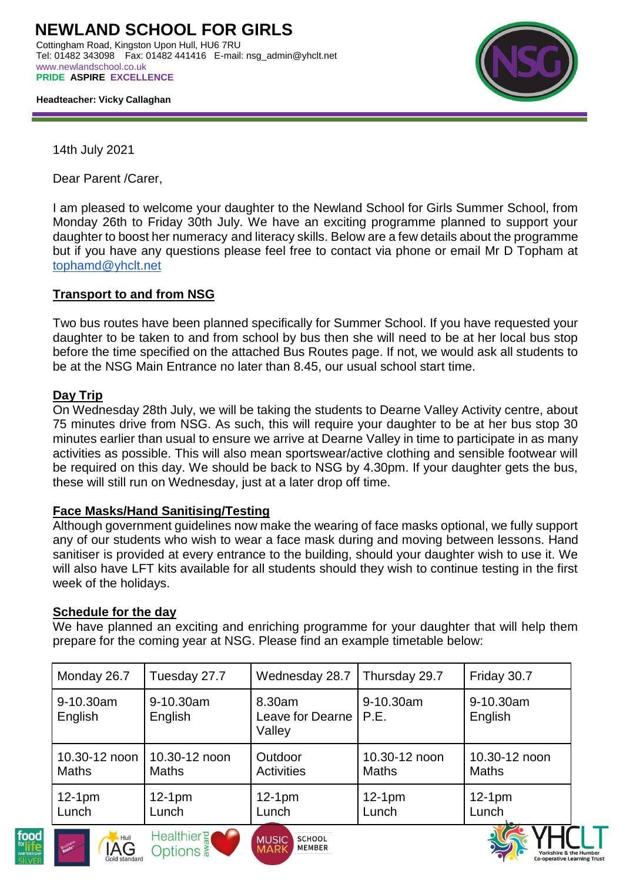

 **Headteacher: Vicky Callaghan**

14th July 2021

Dear Parent /Carer,

I am pleased to welcome your daughter to the Newland School for Girls Summer School, from Monday 26th to Friday 30th July. We have an exciting programme planned to support your daughter to boost her numeracy and literacy skills. Below are a few details about the programme but if you have any questions please feel free to contact via phone or email Mr D Topham at [tophamd@yhclt.net](mailto:tophamd@yhclt.net)

### **Transport to and from NSG**

Two bus routes have been planned specifically for Summer School. If you have requested your daughter to be taken to and from school by bus then she will need to be at her local bus stop before the time specified on the attached Bus Routes page. If not, we would ask all students to be at the NSG Main Entrance no later than 8.45, our usual school start time.

### **Day Trip**

On Wednesday 28th July, we will be taking the students to Dearne Valley Activity centre, about 75 minutes drive from NSG. As such, this will require your daughter to be at her bus stop 30 minutes earlier than usual to ensure we arrive at Dearne Valley in time to participate in as many activities as possible. This will also mean sportswear/active clothing and sensible footwear will be required on this day. We should be back to NSG by 4.30pm. If your daughter gets the bus, these will still run on Wednesday, just at a later drop off time.

### **Face Masks/Hand Sanitising/Testing**

Options <sup>3</sup>

Although government guidelines now make the wearing of face masks optional, we fully support any of our students who wish to wear a face mask during and moving between lessons. Hand sanitiser is provided at every entrance to the building, should your daughter wish to use it. We will also have LFT kits available for all students should they wish to continue testing in the first week of the holidays.

### **Schedule for the day**

We have planned an exciting and enriching programme for your daughter that will help them prepare for the coming year at NSG. Please find an example timetable below:

| Monday 26.7                   | Tuesday 27.7                  | Wednesday 28.7                       | Thursday 29.7                 | Friday 30.7                   |
|-------------------------------|-------------------------------|--------------------------------------|-------------------------------|-------------------------------|
| 9-10.30am<br>English          | 9-10.30am<br>English          | 8.30am<br>Leave for Dearne<br>Valley | 9-10.30am<br>P.E.             | 9-10.30am<br>English          |
| 10.30-12 noon<br><b>Maths</b> | 10.30-12 noon<br><b>Maths</b> | Outdoor<br><b>Activities</b>         | 10.30-12 noon<br><b>Maths</b> | 10.30-12 noon<br><b>Maths</b> |
| $12-1pm$<br>Lunch             | $12-1pm$<br>Lunch             | $12-1pm$<br>Lunch                    | $12-1pm$<br>Lunch             | $12-1pm$<br>Lunch             |
| $\sim$ 1.000 $\mu$            | Healthier?                    | $111010$ $0.01001$                   |                               |                               |

**MFMRFR**